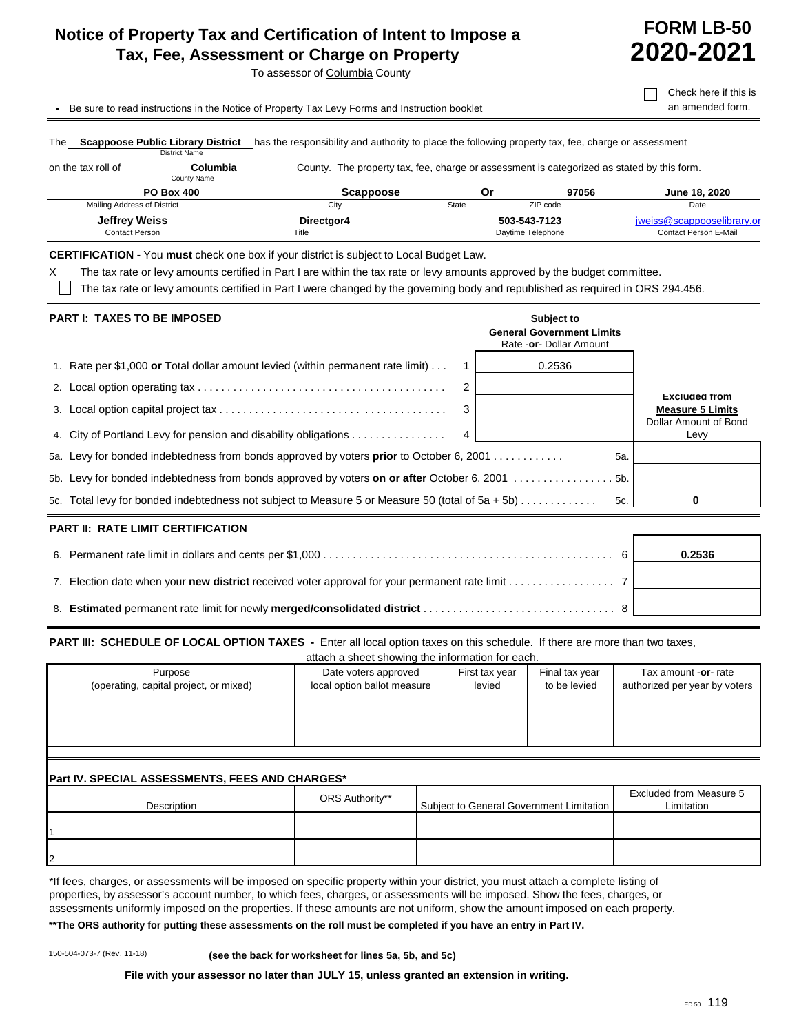# **Notice of Property Tax and Certification of Intent to Impose a Tax, Fee, Assessment or Charge on Property**

To assessor of Columbia County

**FORM LB-50 2020-2021**

**.** Be sure to read instructions in the Notice of Property Tax Levy Forms and Instruction booklet **and amended form.** 

 $\Box$  Check here if this is

| The                         | <b>Scappoose Public Library District</b><br><b>District Name</b> | has the responsibility and authority to place the following property tax, fee, charge or assessment |       |                   |                              |
|-----------------------------|------------------------------------------------------------------|-----------------------------------------------------------------------------------------------------|-------|-------------------|------------------------------|
| on the tax roll of          | Columbia<br>County Name                                          | County. The property tax, fee, charge or assessment is categorized as stated by this form.          |       |                   |                              |
|                             | <b>PO Box 400</b>                                                | Scappoose                                                                                           | Οr    | 97056             | June 18, 2020                |
| Mailing Address of District |                                                                  | City                                                                                                | State | ZIP code          | Date                         |
| <b>Jeffrey Weiss</b>        |                                                                  | Directgor4                                                                                          |       | 503-543-7123      | jweiss@scappooselibrary.or   |
| Contact Person              |                                                                  | Title                                                                                               |       | Daytime Telephone | <b>Contact Person E-Mail</b> |
|                             |                                                                  | $\cdot$ .                                                                                           |       |                   |                              |

**CERTIFICATION -** You **must** check one box if your district is subject to Local Budget Law.

X The tax rate or levy amounts certified in Part I are within the tax rate or levy amounts approved by the budget committee.

The tax rate or levy amounts certified in Part I were changed by the governing body and republished as required in ORS 294.456.

| <b>PART I: TAXES TO BE IMPOSED</b>                                                               |   | Subject to<br><b>General Government Limits</b><br>Rate - or - Dollar Amount |                               |
|--------------------------------------------------------------------------------------------------|---|-----------------------------------------------------------------------------|-------------------------------|
| 1. Rate per \$1,000 or Total dollar amount levied (within permanent rate limit)                  |   | 0.2536                                                                      |                               |
|                                                                                                  | 2 |                                                                             | <b>Excluded from</b>          |
|                                                                                                  | 3 |                                                                             | <b>Measure 5 Limits</b>       |
| 4. City of Portland Levy for pension and disability obligations                                  |   |                                                                             | Dollar Amount of Bond<br>Levy |
| 5a. Levy for bonded indebtedness from bonds approved by voters <b>prior</b> to October 6, 2001   |   | 5a.                                                                         |                               |
|                                                                                                  |   |                                                                             |                               |
| 5c. Total levy for bonded indebtedness not subject to Measure 5 or Measure 50 (total of 5a + 5b) |   | 5c.                                                                         | 0                             |

## **PART II: RATE LIMIT CERTIFICATION**

|  | 0.2536 |
|--|--------|
|  |        |
|  |        |

#### **PART III: SCHEDULE OF LOCAL OPTION TAXES** - Enter all local option taxes on this schedule. If there are more than two taxes,  $\sin \alpha$  the information  $\sin \alpha$

| Purpose<br>(operating, capital project, or mixed) | Date voters approved<br>local option ballot measure | First tax year<br>levied | Final tax year<br>to be levied | Tax amount -or- rate<br>authorized per year by voters |
|---------------------------------------------------|-----------------------------------------------------|--------------------------|--------------------------------|-------------------------------------------------------|
|                                                   |                                                     |                          |                                |                                                       |
|                                                   |                                                     |                          |                                |                                                       |

## **Part IV. SPECIAL ASSESSMENTS, FEES AND CHARGES\***

| Description | ORS Authority** | Subject to General Government Limitation | Excluded from Measure 5<br>Limitation |
|-------------|-----------------|------------------------------------------|---------------------------------------|
|             |                 |                                          |                                       |
| 2           |                 |                                          |                                       |

\*If fees, charges, or assessments will be imposed on specific property within your district, you must attach a complete listing of properties, by assessor's account number, to which fees, charges, or assessments will be imposed. Show the fees, charges, or assessments uniformly imposed on the properties. If these amounts are not uniform, show the amount imposed on each property.

**\*\*The ORS authority for putting these assessments on the roll must be completed if you have an entry in Part IV.**

150-504-073-7 (Rev. 11-18) **(see the back for worksheet for lines 5a, 5b, and 5c)**

**File with your assessor no later than JULY 15, unless granted an extension in writing.**